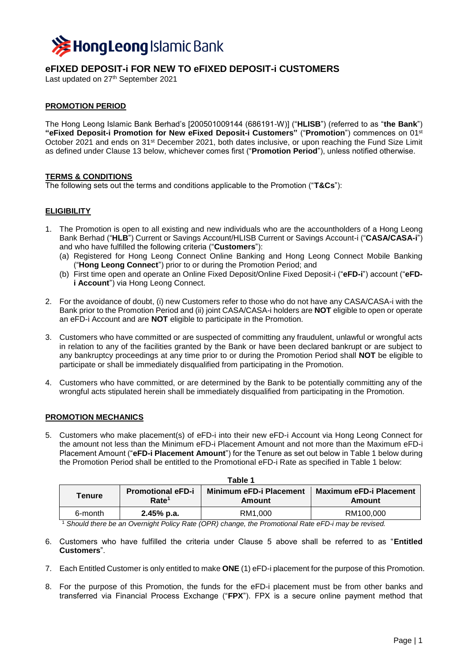

# **eFIXED DEPOSIT-i FOR NEW TO eFIXED DEPOSIT-i CUSTOMERS**

Last updated on 27 th September 2021

## **PROMOTION PERIOD**

The Hong Leong Islamic Bank Berhad's [200501009144 (686191-W)] ("**HLISB**") (referred to as "**the Bank**") **"eFixed Deposit-i Promotion for New eFixed Deposit-i Customers"** ("**Promotion**") commences on 01st October 2021 and ends on 31<sup>st</sup> December 2021, both dates inclusive, or upon reaching the Fund Size Limit as defined under Clause 13 below, whichever comes first ("**Promotion Period**"), unless notified otherwise.

#### **TERMS & CONDITIONS**

The following sets out the terms and conditions applicable to the Promotion ("**T&Cs**"):

## **ELIGIBILITY**

- 1. The Promotion is open to all existing and new individuals who are the accountholders of a Hong Leong Bank Berhad ("**HLB**") Current or Savings Account/HLISB Current or Savings Account-i ("**CASA/CASA-i**") and who have fulfilled the following criteria ("**Customers**"):
	- (a) Registered for Hong Leong Connect Online Banking and Hong Leong Connect Mobile Banking ("**Hong Leong Connect**") prior to or during the Promotion Period; and
	- (b) First time open and operate an Online Fixed Deposit/Online Fixed Deposit-i ("**eFD-i**") account ("**eFDi Account**") via Hong Leong Connect.
- 2. For the avoidance of doubt, (i) new Customers refer to those who do not have any CASA/CASA-i with the Bank prior to the Promotion Period and (ii) joint CASA/CASA-i holders are **NOT** eligible to open or operate an eFD-i Account and are **NOT** eligible to participate in the Promotion.
- 3. Customers who have committed or are suspected of committing any fraudulent, unlawful or wrongful acts in relation to any of the facilities granted by the Bank or have been declared bankrupt or are subject to any bankruptcy proceedings at any time prior to or during the Promotion Period shall **NOT** be eligible to participate or shall be immediately disqualified from participating in the Promotion.
- 4. Customers who have committed, or are determined by the Bank to be potentially committing any of the wrongful acts stipulated herein shall be immediately disqualified from participating in the Promotion.

#### **PROMOTION MECHANICS**

5. Customers who make placement(s) of eFD-i into their new eFD-i Account via Hong Leong Connect for the amount not less than the Minimum eFD-i Placement Amount and not more than the Maximum eFD-i Placement Amount ("**eFD-i Placement Amount**") for the Tenure as set out below in Table 1 below during the Promotion Period shall be entitled to the Promotional eFD-i Rate as specified in Table 1 below:

| Table 1 |                                               |                                          |                                          |
|---------|-----------------------------------------------|------------------------------------------|------------------------------------------|
| Tenure  | <b>Promotional eFD-i</b><br>Rate <sup>1</sup> | <b>Minimum eFD-i Placement</b><br>Amount | <b>Maximum eFD-i Placement</b><br>Amount |
| 6-month | $2.45%$ p.a.                                  | RM1.000                                  | RM100,000                                |

<sup>1</sup> *Should there be an Overnight Policy Rate (OPR) change, the Promotional Rate eFD-i may be revised.*

- 6. Customers who have fulfilled the criteria under Clause 5 above shall be referred to as "**Entitled Customers**".
- 7. Each Entitled Customer is only entitled to make **ONE** (1) eFD-i placement for the purpose of this Promotion.
- 8. For the purpose of this Promotion, the funds for the eFD-i placement must be from other banks and transferred via Financial Process Exchange ("**FPX**"). FPX is a secure online payment method that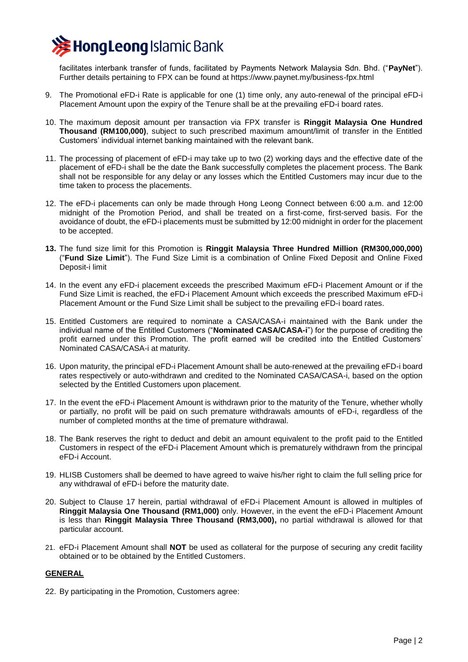

facilitates interbank transfer of funds, facilitated by Payments Network Malaysia Sdn. Bhd. ("**PayNet**"). Further details pertaining to FPX can be found at https://www.paynet.my/business-fpx.html

- 9. The Promotional eFD-i Rate is applicable for one (1) time only, any auto-renewal of the principal eFD-i Placement Amount upon the expiry of the Tenure shall be at the prevailing eFD-i board rates.
- 10. The maximum deposit amount per transaction via FPX transfer is **Ringgit Malaysia One Hundred Thousand (RM100,000)**, subject to such prescribed maximum amount/limit of transfer in the Entitled Customers' individual internet banking maintained with the relevant bank.
- 11. The processing of placement of eFD-i may take up to two (2) working days and the effective date of the placement of eFD-i shall be the date the Bank successfully completes the placement process. The Bank shall not be responsible for any delay or any losses which the Entitled Customers may incur due to the time taken to process the placements.
- 12. The eFD-i placements can only be made through Hong Leong Connect between 6:00 a.m. and 12:00 midnight of the Promotion Period, and shall be treated on a first-come, first-served basis. For the avoidance of doubt, the eFD-i placements must be submitted by 12:00 midnight in order for the placement to be accepted.
- **13.** The fund size limit for this Promotion is **Ringgit Malaysia Three Hundred Million (RM300,000,000)** ("**Fund Size Limit**"). The Fund Size Limit is a combination of Online Fixed Deposit and Online Fixed Deposit-i limit
- 14. In the event any eFD-i placement exceeds the prescribed Maximum eFD-i Placement Amount or if the Fund Size Limit is reached, the eFD-i Placement Amount which exceeds the prescribed Maximum eFD-i Placement Amount or the Fund Size Limit shall be subject to the prevailing eFD-i board rates.
- 15. Entitled Customers are required to nominate a CASA/CASA-i maintained with the Bank under the individual name of the Entitled Customers ("**Nominated CASA/CASA-i**") for the purpose of crediting the profit earned under this Promotion. The profit earned will be credited into the Entitled Customers' Nominated CASA/CASA-i at maturity.
- 16. Upon maturity, the principal eFD-i Placement Amount shall be auto-renewed at the prevailing eFD-i board rates respectively or auto-withdrawn and credited to the Nominated CASA/CASA-i, based on the option selected by the Entitled Customers upon placement.
- 17. In the event the eFD-i Placement Amount is withdrawn prior to the maturity of the Tenure, whether wholly or partially, no profit will be paid on such premature withdrawals amounts of eFD-i, regardless of the number of completed months at the time of premature withdrawal.
- 18. The Bank reserves the right to deduct and debit an amount equivalent to the profit paid to the Entitled Customers in respect of the eFD-i Placement Amount which is prematurely withdrawn from the principal eFD-i Account.
- 19. HLISB Customers shall be deemed to have agreed to waive his/her right to claim the full selling price for any withdrawal of eFD-i before the maturity date.
- 20. Subject to Clause 17 herein, partial withdrawal of eFD-i Placement Amount is allowed in multiples of **Ringgit Malaysia One Thousand (RM1,000)** only. However, in the event the eFD-i Placement Amount is less than **Ringgit Malaysia Three Thousand (RM3,000),** no partial withdrawal is allowed for that particular account.
- 21. eFD-i Placement Amount shall **NOT** be used as collateral for the purpose of securing any credit facility obtained or to be obtained by the Entitled Customers.

## **GENERAL**

22. By participating in the Promotion, Customers agree: